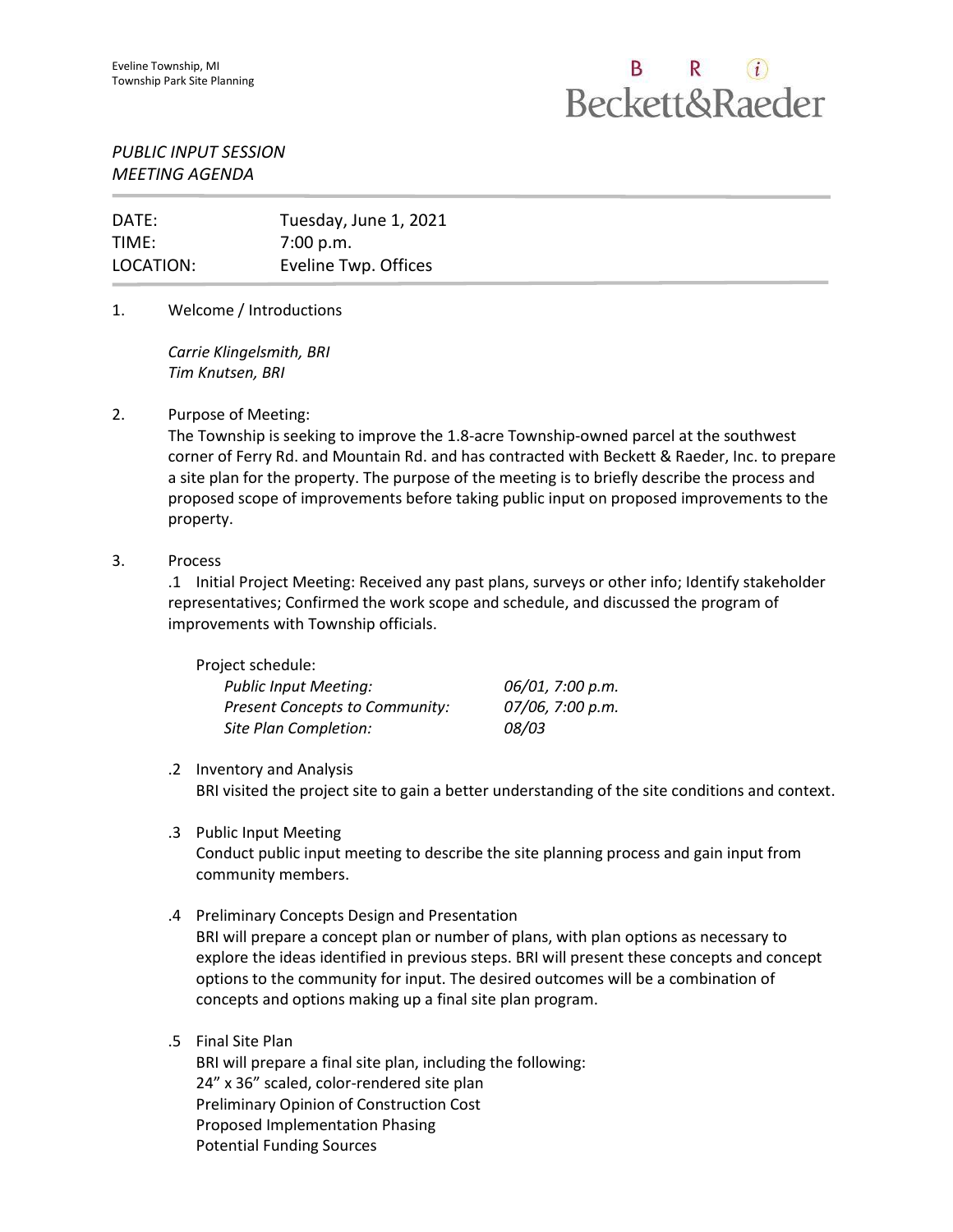# B R  $(i)$ **Beckett&Raeder**

## *PUBLIC INPUT SESSION MEETING AGENDA*

| DATE:     | Tuesday, June 1, 2021 |
|-----------|-----------------------|
| TIME:     | 7:00 p.m.             |
| LOCATION: | Eveline Twp. Offices  |

## 1. Welcome / Introductions

*Carrie Klingelsmith, BRI Tim Knutsen, BRI*

## 2. Purpose of Meeting:

The Township is seeking to improve the 1.8-acre Township-owned parcel at the southwest corner of Ferry Rd. and Mountain Rd. and has contracted with Beckett & Raeder, Inc. to prepare a site plan for the property. The purpose of the meeting is to briefly describe the process and proposed scope of improvements before taking public input on proposed improvements to the property.

#### 3. Process

.1 Initial Project Meeting: Received any past plans, surveys or other info; Identify stakeholder representatives; Confirmed the work scope and schedule, and discussed the program of improvements with Township officials.

| Project schedule:                     |                  |
|---------------------------------------|------------------|
| <b>Public Input Meeting:</b>          | 06/01, 7:00 p.m. |
| <b>Present Concepts to Community:</b> | 07/06, 7:00 p.m. |
| Site Plan Completion:                 | 08/03            |

#### .2 Inventory and Analysis

BRI visited the project site to gain a better understanding of the site conditions and context.

.3 Public Input Meeting

Conduct public input meeting to describe the site planning process and gain input from community members.

.4 Preliminary Concepts Design and Presentation

BRI will prepare a concept plan or number of plans, with plan options as necessary to explore the ideas identified in previous steps. BRI will present these concepts and concept options to the community for input. The desired outcomes will be a combination of concepts and options making up a final site plan program.

#### .5 Final Site Plan

BRI will prepare a final site plan, including the following: 24" x 36" scaled, color-rendered site plan Preliminary Opinion of Construction Cost Proposed Implementation Phasing Potential Funding Sources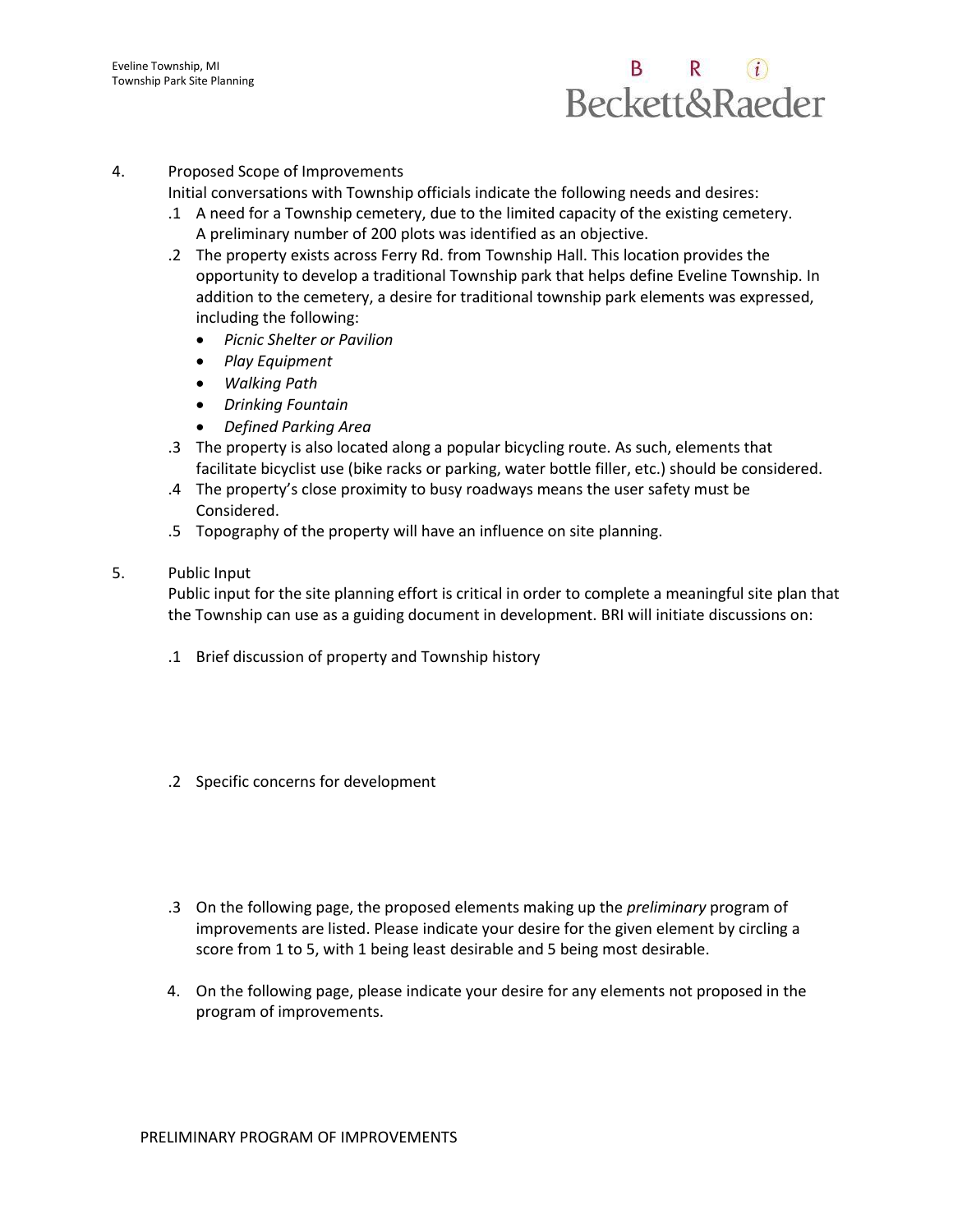# B R  $(i)$ **Beckett&Raeder**

### 4. Proposed Scope of Improvements

Initial conversations with Township officials indicate the following needs and desires:

- .1 A need for a Township cemetery, due to the limited capacity of the existing cemetery. A preliminary number of 200 plots was identified as an objective.
- .2 The property exists across Ferry Rd. from Township Hall. This location provides the opportunity to develop a traditional Township park that helps define Eveline Township. In addition to the cemetery, a desire for traditional township park elements was expressed, including the following:
	- *Picnic Shelter or Pavilion*
	- *Play Equipment*
	- *Walking Path*
	- *Drinking Fountain*
	- *Defined Parking Area*
- .3 The property is also located along a popular bicycling route. As such, elements that facilitate bicyclist use (bike racks or parking, water bottle filler, etc.) should be considered.
- .4 The property's close proximity to busy roadways means the user safety must be Considered.
- .5 Topography of the property will have an influence on site planning.
- 5. Public Input

Public input for the site planning effort is critical in order to complete a meaningful site plan that the Township can use as a guiding document in development. BRI will initiate discussions on:

- .1 Brief discussion of property and Township history
- .2 Specific concerns for development
- .3 On the following page, the proposed elements making up the *preliminary* program of improvements are listed. Please indicate your desire for the given element by circling a score from 1 to 5, with 1 being least desirable and 5 being most desirable.
- 4. On the following page, please indicate your desire for any elements not proposed in the program of improvements.